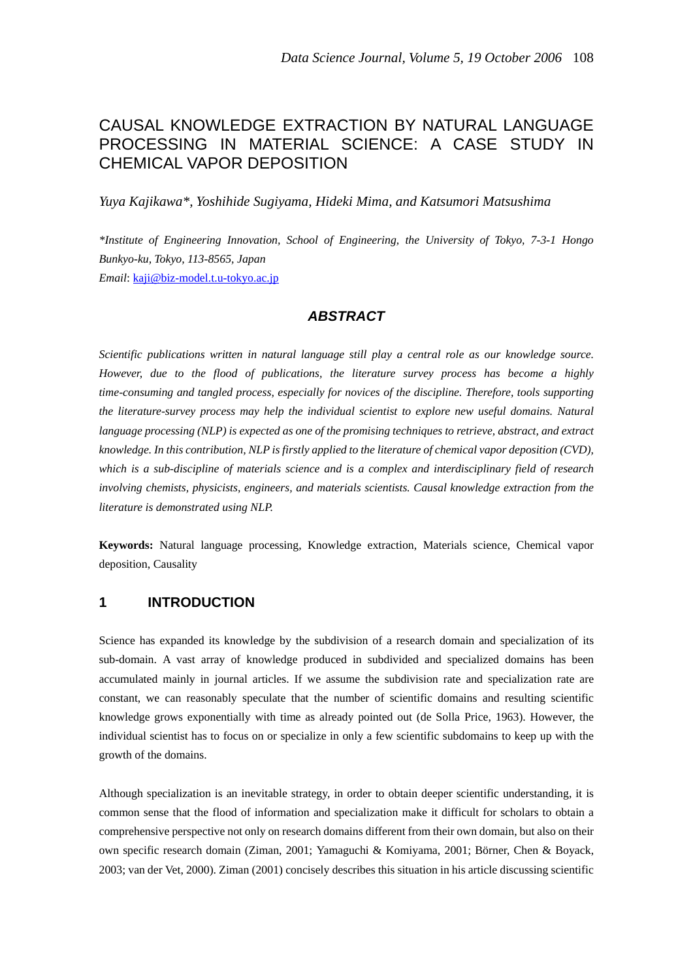# CAUSAL KNOWLEDGE EXTRACTION BY NATURAL LANGUAGE PROCESSING IN MATERIAL SCIENCE: A CASE STUDY IN CHEMICAL VAPOR DEPOSITION

*Yuya Kajikawa\*, Yoshihide Sugiyama, Hideki Mima, and Katsumori Matsushima* 

*\*Institute of Engineering Innovation, School of Engineering, the University of Tokyo, 7-3-1 Hongo Bunkyo-ku, Tokyo, 113-8565, Japan Email*: kaji@biz-model.t.u-tokyo.ac.jp

## *ABSTRACT*

*Scientific publications written in natural language still play a central role as our knowledge source. However, due to the flood of publications, the literature survey process has become a highly time-consuming and tangled process, especially for novices of the discipline. Therefore, tools supporting the literature-survey process may help the individual scientist to explore new useful domains. Natural language processing (NLP) is expected as one of the promising techniques to retrieve, abstract, and extract knowledge. In this contribution, NLP is firstly applied to the literature of chemical vapor deposition (CVD), which is a sub-discipline of materials science and is a complex and interdisciplinary field of research involving chemists, physicists, engineers, and materials scientists. Causal knowledge extraction from the literature is demonstrated using NLP.* 

**Keywords:** Natural language processing, Knowledge extraction, Materials science, Chemical vapor deposition, Causality

## **1 INTRODUCTION**

Science has expanded its knowledge by the subdivision of a research domain and specialization of its sub-domain. A vast array of knowledge produced in subdivided and specialized domains has been accumulated mainly in journal articles. If we assume the subdivision rate and specialization rate are constant, we can reasonably speculate that the number of scientific domains and resulting scientific knowledge grows exponentially with time as already pointed out (de Solla Price, 1963). However, the individual scientist has to focus on or specialize in only a few scientific subdomains to keep up with the growth of the domains.

Although specialization is an inevitable strategy, in order to obtain deeper scientific understanding, it is common sense that the flood of information and specialization make it difficult for scholars to obtain a comprehensive perspective not only on research domains different from their own domain, but also on their own specific research domain (Ziman, 2001; Yamaguchi & Komiyama, 2001; Börner, Chen & Boyack, 2003; van der Vet, 2000). Ziman (2001) concisely describes this situation in his article discussing scientific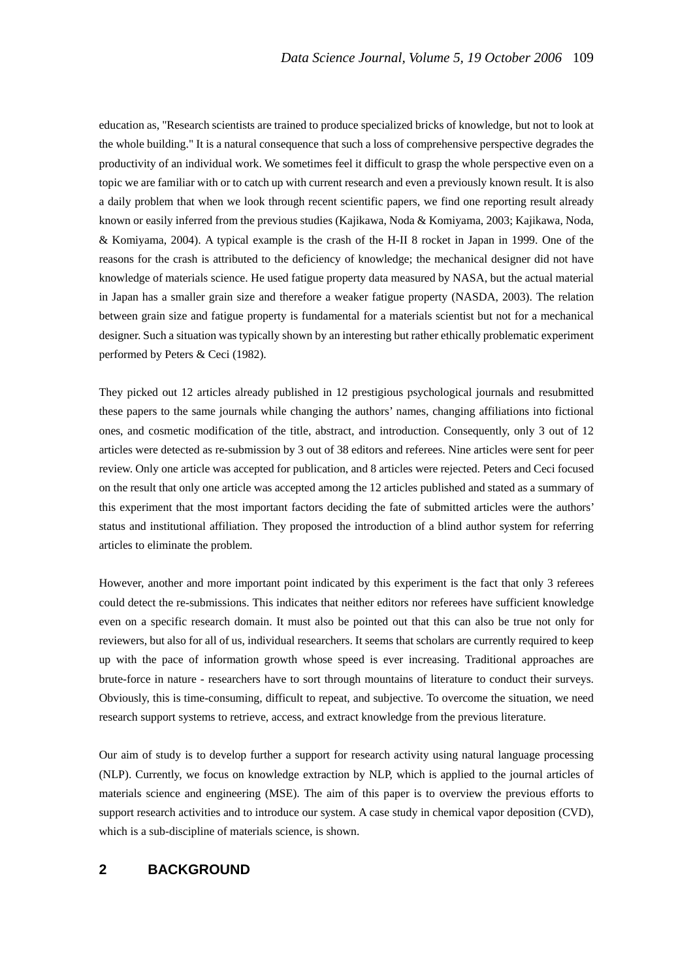education as, "Research scientists are trained to produce specialized bricks of knowledge, but not to look at the whole building." It is a natural consequence that such a loss of comprehensive perspective degrades the productivity of an individual work. We sometimes feel it difficult to grasp the whole perspective even on a topic we are familiar with or to catch up with current research and even a previously known result. It is also a daily problem that when we look through recent scientific papers, we find one reporting result already known or easily inferred from the previous studies (Kajikawa, Noda & Komiyama, 2003; Kajikawa, Noda, & Komiyama, 2004). A typical example is the crash of the H-II 8 rocket in Japan in 1999. One of the reasons for the crash is attributed to the deficiency of knowledge; the mechanical designer did not have knowledge of materials science. He used fatigue property data measured by NASA, but the actual material in Japan has a smaller grain size and therefore a weaker fatigue property (NASDA, 2003). The relation between grain size and fatigue property is fundamental for a materials scientist but not for a mechanical designer. Such a situation was typically shown by an interesting but rather ethically problematic experiment performed by Peters & Ceci (1982).

They picked out 12 articles already published in 12 prestigious psychological journals and resubmitted these papers to the same journals while changing the authors' names, changing affiliations into fictional ones, and cosmetic modification of the title, abstract, and introduction. Consequently, only 3 out of 12 articles were detected as re-submission by 3 out of 38 editors and referees. Nine articles were sent for peer review. Only one article was accepted for publication, and 8 articles were rejected. Peters and Ceci focused on the result that only one article was accepted among the 12 articles published and stated as a summary of this experiment that the most important factors deciding the fate of submitted articles were the authors' status and institutional affiliation. They proposed the introduction of a blind author system for referring articles to eliminate the problem.

However, another and more important point indicated by this experiment is the fact that only 3 referees could detect the re-submissions. This indicates that neither editors nor referees have sufficient knowledge even on a specific research domain. It must also be pointed out that this can also be true not only for reviewers, but also for all of us, individual researchers. It seems that scholars are currently required to keep up with the pace of information growth whose speed is ever increasing. Traditional approaches are brute-force in nature - researchers have to sort through mountains of literature to conduct their surveys. Obviously, this is time-consuming, difficult to repeat, and subjective. To overcome the situation, we need research support systems to retrieve, access, and extract knowledge from the previous literature.

Our aim of study is to develop further a support for research activity using natural language processing (NLP). Currently, we focus on knowledge extraction by NLP, which is applied to the journal articles of materials science and engineering (MSE). The aim of this paper is to overview the previous efforts to support research activities and to introduce our system. A case study in chemical vapor deposition (CVD), which is a sub-discipline of materials science, is shown.

#### **2 BACKGROUND**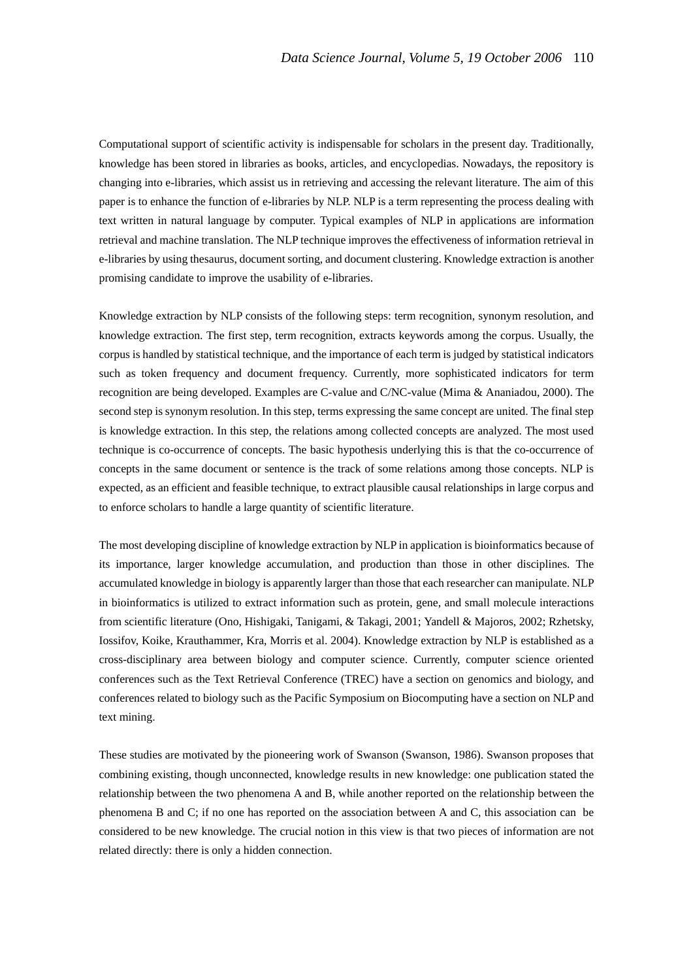Computational support of scientific activity is indispensable for scholars in the present day. Traditionally, knowledge has been stored in libraries as books, articles, and encyclopedias. Nowadays, the repository is changing into e-libraries, which assist us in retrieving and accessing the relevant literature. The aim of this paper is to enhance the function of e-libraries by NLP. NLP is a term representing the process dealing with text written in natural language by computer. Typical examples of NLP in applications are information retrieval and machine translation. The NLP technique improves the effectiveness of information retrieval in e-libraries by using thesaurus, document sorting, and document clustering. Knowledge extraction is another promising candidate to improve the usability of e-libraries.

Knowledge extraction by NLP consists of the following steps: term recognition, synonym resolution, and knowledge extraction. The first step, term recognition, extracts keywords among the corpus. Usually, the corpus is handled by statistical technique, and the importance of each term is judged by statistical indicators such as token frequency and document frequency. Currently, more sophisticated indicators for term recognition are being developed. Examples are C-value and C/NC-value (Mima & Ananiadou, 2000). The second step is synonym resolution. In this step, terms expressing the same concept are united. The final step is knowledge extraction. In this step, the relations among collected concepts are analyzed. The most used technique is co-occurrence of concepts. The basic hypothesis underlying this is that the co-occurrence of concepts in the same document or sentence is the track of some relations among those concepts. NLP is expected, as an efficient and feasible technique, to extract plausible causal relationships in large corpus and to enforce scholars to handle a large quantity of scientific literature.

The most developing discipline of knowledge extraction by NLP in application is bioinformatics because of its importance, larger knowledge accumulation, and production than those in other disciplines. The accumulated knowledge in biology is apparently larger than those that each researcher can manipulate. NLP in bioinformatics is utilized to extract information such as protein, gene, and small molecule interactions from scientific literature (Ono, Hishigaki, Tanigami, & Takagi, 2001; Yandell & Majoros, 2002; Rzhetsky, Iossifov, Koike, Krauthammer, Kra, Morris et al. 2004). Knowledge extraction by NLP is established as a cross-disciplinary area between biology and computer science. Currently, computer science oriented conferences such as the Text Retrieval Conference (TREC) have a section on genomics and biology, and conferences related to biology such as the Pacific Symposium on Biocomputing have a section on NLP and text mining.

These studies are motivated by the pioneering work of Swanson (Swanson, 1986). Swanson proposes that combining existing, though unconnected, knowledge results in new knowledge: one publication stated the relationship between the two phenomena A and B, while another reported on the relationship between the phenomena B and C; if no one has reported on the association between A and C, this association can be considered to be new knowledge. The crucial notion in this view is that two pieces of information are not related directly: there is only a hidden connection.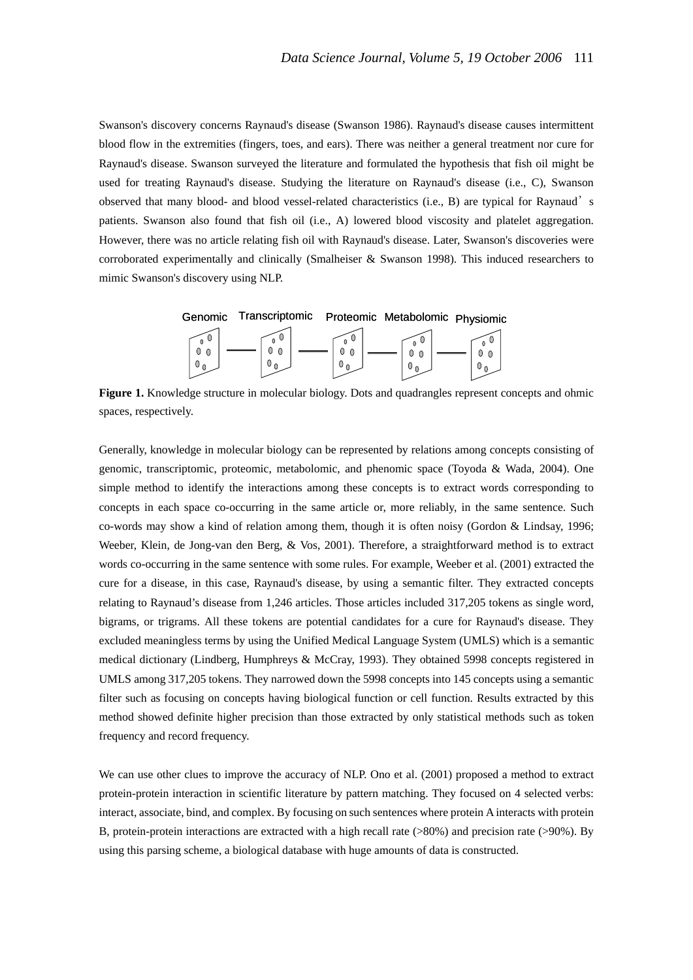Swanson's discovery concerns Raynaud's disease (Swanson 1986). Raynaud's disease causes intermittent blood flow in the extremities (fingers, toes, and ears). There was neither a general treatment nor cure for Raynaud's disease. Swanson surveyed the literature and formulated the hypothesis that fish oil might be used for treating Raynaud's disease. Studying the literature on Raynaud's disease (i.e., C), Swanson observed that many blood- and blood vessel-related characteristics (i.e., B) are typical for Raynaud's patients. Swanson also found that fish oil (i.e., A) lowered blood viscosity and platelet aggregation. However, there was no article relating fish oil with Raynaud's disease. Later, Swanson's discoveries were corroborated experimentally and clinically (Smalheiser & Swanson 1998). This induced researchers to mimic Swanson's discovery using NLP.



**Figure 1.** Knowledge structure in molecular biology. Dots and quadrangles represent concepts and ohmic spaces, respectively.

Generally, knowledge in molecular biology can be represented by relations among concepts consisting of genomic, transcriptomic, proteomic, metabolomic, and phenomic space (Toyoda & Wada, 2004). One simple method to identify the interactions among these concepts is to extract words corresponding to concepts in each space co-occurring in the same article or, more reliably, in the same sentence. Such co-words may show a kind of relation among them, though it is often noisy (Gordon & Lindsay, 1996; Weeber, Klein, de Jong-van den Berg, & Vos, 2001). Therefore, a straightforward method is to extract words co-occurring in the same sentence with some rules. For example, Weeber et al. (2001) extracted the cure for a disease, in this case, Raynaud's disease, by using a semantic filter. They extracted concepts relating to Raynaud's disease from 1,246 articles. Those articles included 317,205 tokens as single word, bigrams, or trigrams. All these tokens are potential candidates for a cure for Raynaud's disease. They excluded meaningless terms by using the Unified Medical Language System (UMLS) which is a semantic medical dictionary (Lindberg, Humphreys & McCray, 1993). They obtained 5998 concepts registered in UMLS among 317,205 tokens. They narrowed down the 5998 concepts into 145 concepts using a semantic filter such as focusing on concepts having biological function or cell function. Results extracted by this method showed definite higher precision than those extracted by only statistical methods such as token frequency and record frequency.

We can use other clues to improve the accuracy of NLP. Ono et al. (2001) proposed a method to extract protein-protein interaction in scientific literature by pattern matching. They focused on 4 selected verbs: interact, associate, bind, and complex. By focusing on such sentences where protein A interacts with protein B, protein-protein interactions are extracted with a high recall rate (>80%) and precision rate (>90%). By using this parsing scheme, a biological database with huge amounts of data is constructed.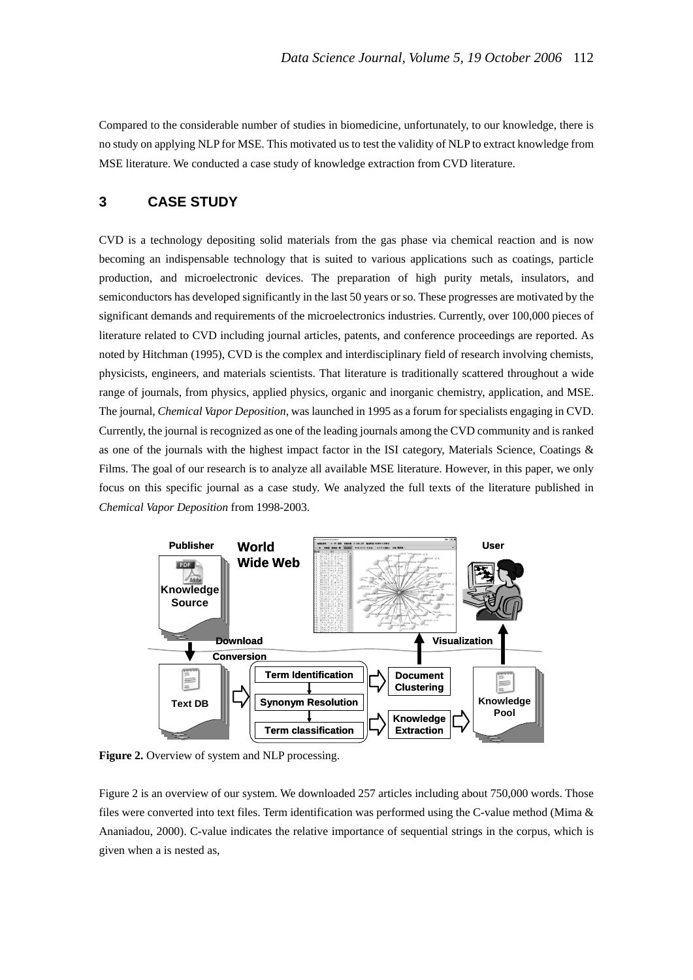Compared to the considerable number of studies in biomedicine, unfortunately, to our knowledge, there is no study on applying NLP for MSE. This motivated us to test the validity of NLP to extract knowledge from MSE literature. We conducted a case study of knowledge extraction from CVD literature.

# **3 CASE STUDY**

CVD is a technology depositing solid materials from the gas phase via chemical reaction and is now becoming an indispensable technology that is suited to various applications such as coatings, particle production, and microelectronic devices. The preparation of high purity metals, insulators, and semiconductors has developed significantly in the last 50 years or so. These progresses are motivated by the significant demands and requirements of the microelectronics industries. Currently, over 100,000 pieces of literature related to CVD including journal articles, patents, and conference proceedings are reported. As noted by Hitchman (1995), CVD is the complex and interdisciplinary field of research involving chemists, physicists, engineers, and materials scientists. That literature is traditionally scattered throughout a wide range of journals, from physics, applied physics, organic and inorganic chemistry, application, and MSE. The journal, *Chemical Vapor Deposition*, was launched in 1995 as a forum for specialists engaging in CVD. Currently, the journal is recognized as one of the leading journals among the CVD community and is ranked as one of the journals with the highest impact factor in the ISI category, Materials Science, Coatings & Films. The goal of our research is to analyze all available MSE literature. However, in this paper, we only focus on this specific journal as a case study. We analyzed the full texts of the literature published in *Chemical Vapor Deposition* from 1998-2003.



**Figure 2.** Overview of system and NLP processing.

Figure 2 is an overview of our system. We downloaded 257 articles including about 750,000 words. Those files were converted into text files. Term identification was performed using the C-value method (Mima & Ananiadou, 2000). C-value indicates the relative importance of sequential strings in the corpus, which is given when a is nested as,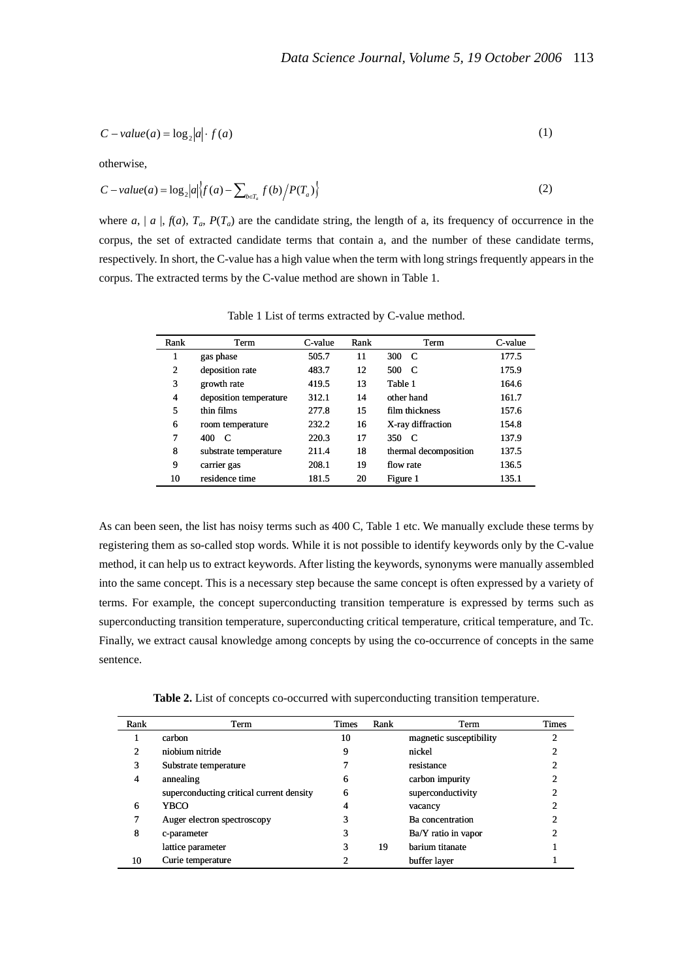$$
C-value(a) = \log_2|a| \cdot f(a)
$$
 (1)

otherwise,

$$
C-value(a) = \log_2 |a| \left\{ f(a) - \sum_{b \in T_a} f(b) / P(T_a) \right\} \tag{2}
$$

where  $a$ ,  $|a|$ ,  $f(a)$ ,  $T_a$ ,  $P(T_a)$  are the candidate string, the length of a, its frequency of occurrence in the corpus, the set of extracted candidate terms that contain a, and the number of these candidate terms, respectively. In short, the C-value has a high value when the term with long strings frequently appears in the corpus. The extracted terms by the C-value method are shown in Table 1.

| Rank | Term                   | C-value | Rank | Term                  | C-value |
|------|------------------------|---------|------|-----------------------|---------|
| 1    | gas phase              | 505.7   | 11   | 300<br>- C            | 177.5   |
| 2    | deposition rate        | 483.7   | 12   | 500<br>- C            | 175.9   |
| 3    | growth rate            | 419.5   | 13   | Table 1               | 164.6   |
| 4    | deposition temperature | 312.1   | 14   | other hand            | 161.7   |
| 5    | thin films             | 277.8   | 15   | film thickness        | 157.6   |
| 6    | room temperature       | 232.2   | 16   | X-ray diffraction     | 154.8   |
| 7    | 400<br>C               | 220.3   | 17   | 350<br>- C            | 137.9   |
| 8    | substrate temperature  | 211.4   | 18   | thermal decomposition | 137.5   |
| 9    | carrier gas            | 208.1   | 19   | flow rate             | 136.5   |
| 10   | residence time         | 181.5   | 20   | Figure 1              | 135.1   |

Table 1 List of terms extracted by C-value method.

As can been seen, the list has noisy terms such as 400 C, Table 1 etc. We manually exclude these terms by registering them as so-called stop words. While it is not possible to identify keywords only by the C-value method, it can help us to extract keywords. After listing the keywords, synonyms were manually assembled into the same concept. This is a necessary step because the same concept is often expressed by a variety of terms. For example, the concept superconducting transition temperature is expressed by terms such as superconducting transition temperature, superconducting critical temperature, critical temperature, and Tc. Finally, we extract causal knowledge among concepts by using the co-occurrence of concepts in the same sentence.

**Table 2.** List of concepts co-occurred with superconducting transition temperature.

| Rank | Term                                     | <b>Times</b> | Rank | Term                    | <b>Times</b> |
|------|------------------------------------------|--------------|------|-------------------------|--------------|
|      | carbon                                   | 10           |      | magnetic susceptibility | ↑            |
| 2    | niobium nitride                          | 9            |      | nickel                  |              |
| 3    | Substrate temperature                    |              |      | resistance              |              |
| 4    | annealing                                | 6            |      | carbon impurity         |              |
|      | superconducting critical current density | 6            |      | superconductivity       |              |
| 6    | <b>YBCO</b>                              | 4            |      | vacancy                 |              |
|      | Auger electron spectroscopy              |              |      | Ba concentration        |              |
| 8    | c-parameter                              | 3            |      | Ba/Y ratio in vapor     |              |
|      | lattice parameter                        | 3            | 19   | barium titanate         |              |
| 10   | Curie temperature                        |              |      | buffer layer            |              |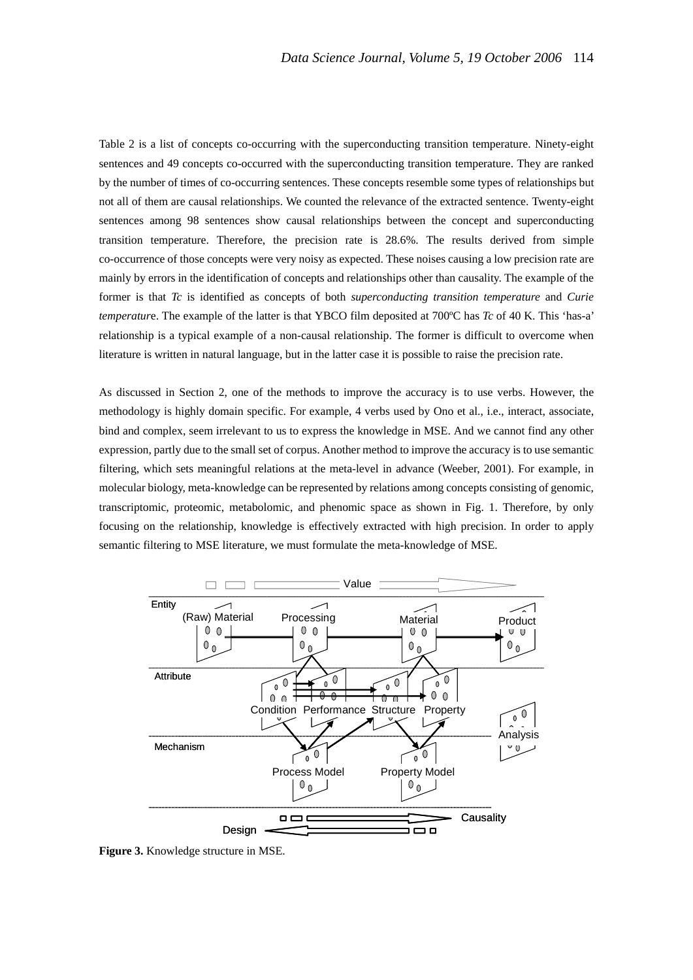Table 2 is a list of concepts co-occurring with the superconducting transition temperature. Ninety-eight sentences and 49 concepts co-occurred with the superconducting transition temperature. They are ranked by the number of times of co-occurring sentences. These concepts resemble some types of relationships but not all of them are causal relationships. We counted the relevance of the extracted sentence. Twenty-eight sentences among 98 sentences show causal relationships between the concept and superconducting transition temperature. Therefore, the precision rate is 28.6%. The results derived from simple co-occurrence of those concepts were very noisy as expected. These noises causing a low precision rate are mainly by errors in the identification of concepts and relationships other than causality. The example of the former is that *Tc* is identified as concepts of both *superconducting transition temperature* and *Curie temperatur*e. The example of the latter is that YBCO film deposited at 700ºC has *Tc* of 40 K. This 'has-a' relationship is a typical example of a non-causal relationship. The former is difficult to overcome when literature is written in natural language, but in the latter case it is possible to raise the precision rate.

As discussed in Section 2, one of the methods to improve the accuracy is to use verbs. However, the methodology is highly domain specific. For example, 4 verbs used by Ono et al., i.e., interact, associate, bind and complex, seem irrelevant to us to express the knowledge in MSE. And we cannot find any other expression, partly due to the small set of corpus. Another method to improve the accuracy is to use semantic filtering, which sets meaningful relations at the meta-level in advance (Weeber, 2001). For example, in molecular biology, meta-knowledge can be represented by relations among concepts consisting of genomic, transcriptomic, proteomic, metabolomic, and phenomic space as shown in Fig. 1. Therefore, by only focusing on the relationship, knowledge is effectively extracted with high precision. In order to apply semantic filtering to MSE literature, we must formulate the meta-knowledge of MSE.



**Figure 3.** Knowledge structure in MSE.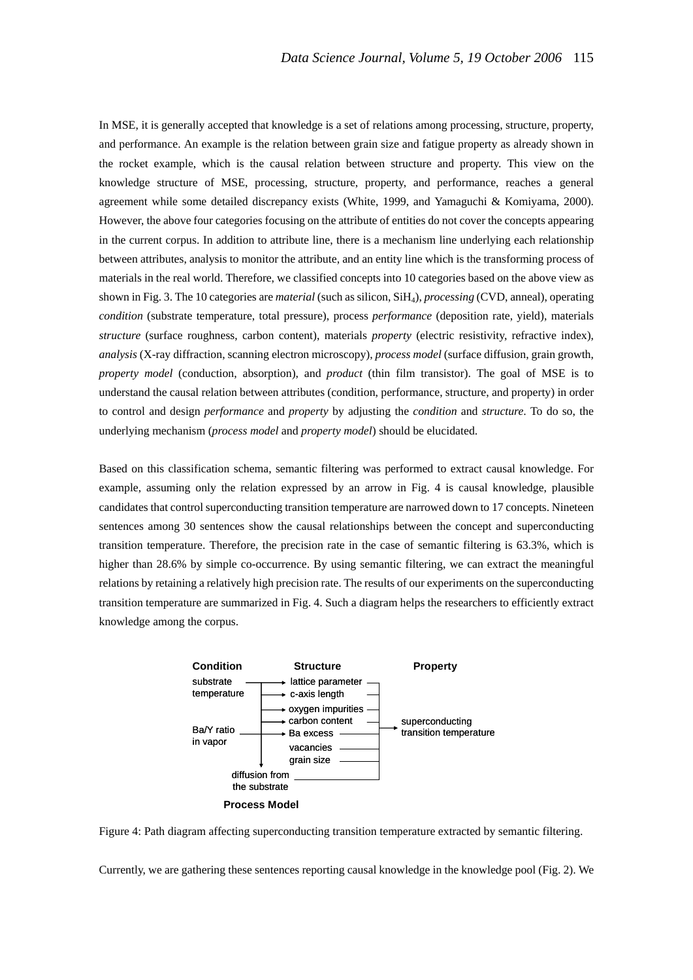In MSE, it is generally accepted that knowledge is a set of relations among processing, structure, property, and performance. An example is the relation between grain size and fatigue property as already shown in the rocket example, which is the causal relation between structure and property. This view on the knowledge structure of MSE, processing, structure, property, and performance, reaches a general agreement while some detailed discrepancy exists (White, 1999, and Yamaguchi & Komiyama, 2000). However, the above four categories focusing on the attribute of entities do not cover the concepts appearing in the current corpus. In addition to attribute line, there is a mechanism line underlying each relationship between attributes, analysis to monitor the attribute, and an entity line which is the transforming process of materials in the real world. Therefore, we classified concepts into 10 categories based on the above view as shown in Fig. 3. The 10 categories are *material* (such as silicon, SiH4), *processing* (CVD, anneal), operating *condition* (substrate temperature, total pressure), process *performance* (deposition rate, yield), materials *structure* (surface roughness, carbon content), materials *property* (electric resistivity, refractive index), *analysis* (X-ray diffraction, scanning electron microscopy), *process model* (surface diffusion, grain growth, *property model* (conduction, absorption), and *product* (thin film transistor). The goal of MSE is to understand the causal relation between attributes (condition, performance, structure, and property) in order to control and design *performance* and *property* by adjusting the *condition* and *structure*. To do so, the underlying mechanism (*process model* and *property model*) should be elucidated.

Based on this classification schema, semantic filtering was performed to extract causal knowledge. For example, assuming only the relation expressed by an arrow in Fig. 4 is causal knowledge, plausible candidates that control superconducting transition temperature are narrowed down to 17 concepts. Nineteen sentences among 30 sentences show the causal relationships between the concept and superconducting transition temperature. Therefore, the precision rate in the case of semantic filtering is 63.3%, which is higher than 28.6% by simple co-occurrence. By using semantic filtering, we can extract the meaningful relations by retaining a relatively high precision rate. The results of our experiments on the superconducting transition temperature are summarized in Fig. 4. Such a diagram helps the researchers to efficiently extract knowledge among the corpus.



Figure 4: Path diagram affecting superconducting transition temperature extracted by semantic filtering.

Currently, we are gathering these sentences reporting causal knowledge in the knowledge pool (Fig. 2). We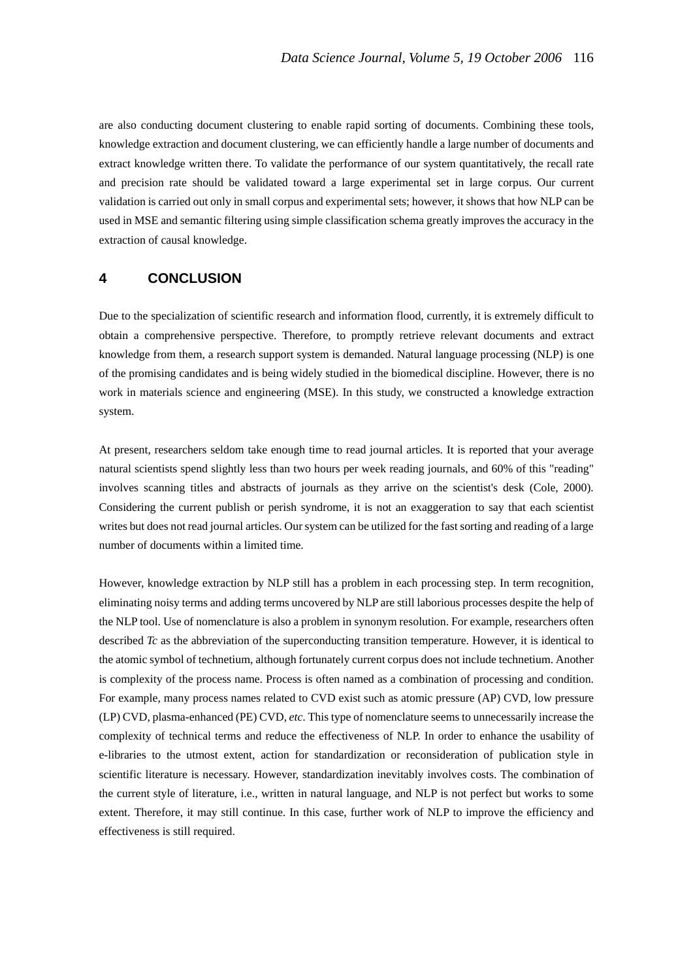are also conducting document clustering to enable rapid sorting of documents. Combining these tools, knowledge extraction and document clustering, we can efficiently handle a large number of documents and extract knowledge written there. To validate the performance of our system quantitatively, the recall rate and precision rate should be validated toward a large experimental set in large corpus. Our current validation is carried out only in small corpus and experimental sets; however, it shows that how NLP can be used in MSE and semantic filtering using simple classification schema greatly improves the accuracy in the extraction of causal knowledge.

## **4 CONCLUSION**

Due to the specialization of scientific research and information flood, currently, it is extremely difficult to obtain a comprehensive perspective. Therefore, to promptly retrieve relevant documents and extract knowledge from them, a research support system is demanded. Natural language processing (NLP) is one of the promising candidates and is being widely studied in the biomedical discipline. However, there is no work in materials science and engineering (MSE). In this study, we constructed a knowledge extraction system.

At present, researchers seldom take enough time to read journal articles. It is reported that your average natural scientists spend slightly less than two hours per week reading journals, and 60% of this "reading" involves scanning titles and abstracts of journals as they arrive on the scientist's desk (Cole, 2000). Considering the current publish or perish syndrome, it is not an exaggeration to say that each scientist writes but does not read journal articles. Our system can be utilized for the fast sorting and reading of a large number of documents within a limited time.

However, knowledge extraction by NLP still has a problem in each processing step. In term recognition, eliminating noisy terms and adding terms uncovered by NLP are still laborious processes despite the help of the NLP tool. Use of nomenclature is also a problem in synonym resolution. For example, researchers often described *Tc* as the abbreviation of the superconducting transition temperature. However, it is identical to the atomic symbol of technetium, although fortunately current corpus does not include technetium. Another is complexity of the process name. Process is often named as a combination of processing and condition. For example, many process names related to CVD exist such as atomic pressure (AP) CVD, low pressure (LP) CVD, plasma-enhanced (PE) CVD, *etc*. This type of nomenclature seems to unnecessarily increase the complexity of technical terms and reduce the effectiveness of NLP. In order to enhance the usability of e-libraries to the utmost extent, action for standardization or reconsideration of publication style in scientific literature is necessary. However, standardization inevitably involves costs. The combination of the current style of literature, i.e., written in natural language, and NLP is not perfect but works to some extent. Therefore, it may still continue. In this case, further work of NLP to improve the efficiency and effectiveness is still required.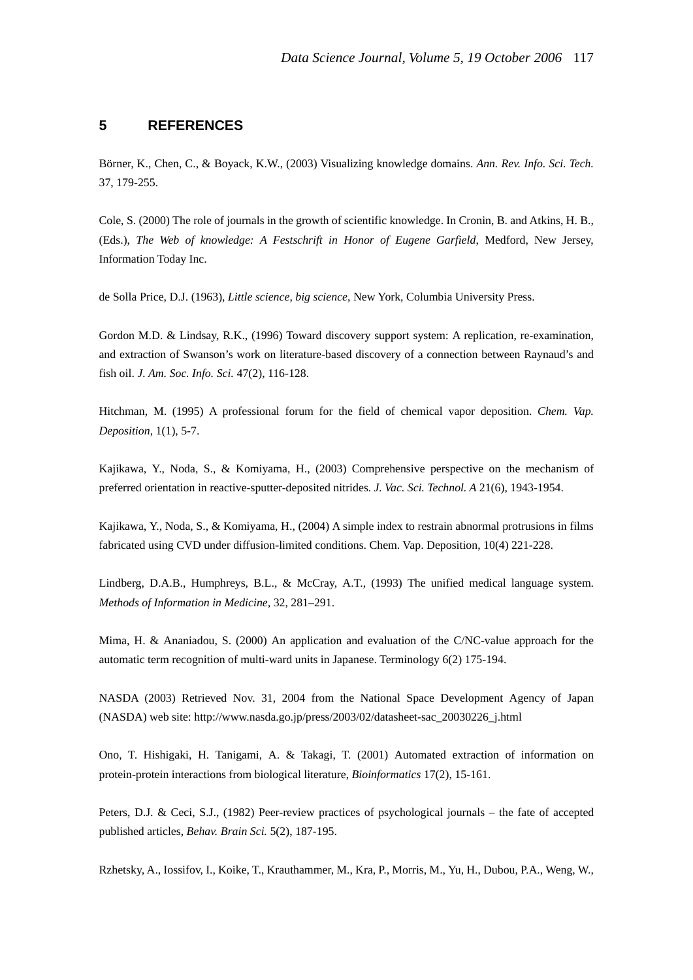# **5 REFERENCES**

Börner, K., Chen, C., & Boyack, K.W., (2003) Visualizing knowledge domains. *Ann. Rev. Info. Sci. Tech.* 37, 179-255.

Cole, S. (2000) The role of journals in the growth of scientific knowledge. In Cronin, B. and Atkins, H. B., (Eds.), *The Web of knowledge: A Festschrift in Honor of Eugene Garfield*, Medford, New Jersey, Information Today Inc.

de Solla Price, D.J. (1963), *Little science, big science*, New York, Columbia University Press.

Gordon M.D. & Lindsay, R.K., (1996) Toward discovery support system: A replication, re-examination, and extraction of Swanson's work on literature-based discovery of a connection between Raynaud's and fish oil. *J. Am. Soc. Info. Sci.* 47(2), 116-128.

Hitchman, M. (1995) A professional forum for the field of chemical vapor deposition. *Chem. Vap. Deposition*, 1(1), 5-7.

Kajikawa, Y., Noda, S., & Komiyama, H., (2003) Comprehensive perspective on the mechanism of preferred orientation in reactive-sputter-deposited nitrides. *J. Vac. Sci. Technol. A* 21(6), 1943-1954.

Kajikawa, Y., Noda, S., & Komiyama, H., (2004) A simple index to restrain abnormal protrusions in films fabricated using CVD under diffusion-limited conditions. Chem. Vap. Deposition, 10(4) 221-228.

Lindberg, D.A.B., Humphreys, B.L., & McCray, A.T., (1993) The unified medical language system. *Methods of Information in Medicine,* 32, 281–291.

Mima, H. & Ananiadou, S. (2000) An application and evaluation of the C/NC-value approach for the automatic term recognition of multi-ward units in Japanese. Terminology 6(2) 175-194.

NASDA (2003) Retrieved Nov. 31, 2004 from the National Space Development Agency of Japan (NASDA) web site: http://www.nasda.go.jp/press/2003/02/datasheet-sac\_20030226\_j.html

Ono, T. Hishigaki, H. Tanigami, A. & Takagi, T. (2001) Automated extraction of information on protein-protein interactions from biological literature, *Bioinformatics* 17(2), 15-161.

Peters, D.J. & Ceci, S.J., (1982) Peer-review practices of psychological journals – the fate of accepted published articles, *Behav. Brain Sci.* 5(2), 187-195.

Rzhetsky, A., Iossifov, I., Koike, T., Krauthammer, M., Kra, P., Morris, M., Yu, H., Dubou, P.A., Weng, W.,